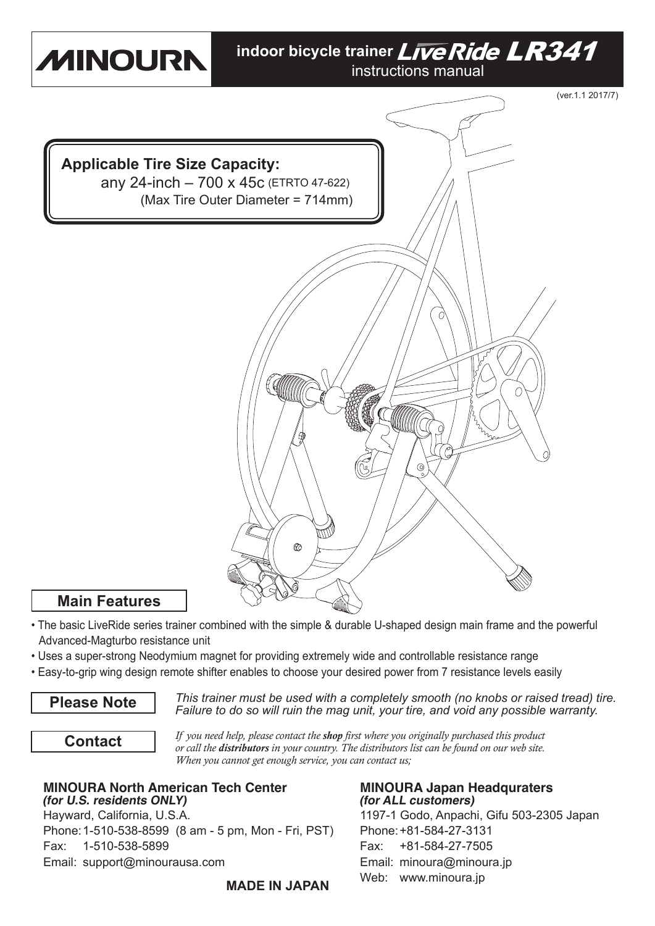

- The basic LiveRide series trainer combined with the simple & durable U-shaped design main frame and the powerful Advanced-Magturbo resistance unit
- Uses a super-strong Neodymium magnet for providing extremely wide and controllable resistance range
- Easy-to-grip wing design remote shifter enables to choose your desired power from 7 resistance levels easily

**Please Note** *This trainer must be used with a completely smooth (no knobs or raised tread) tire. Failure to do so will ruin the mag unit, your tire, and void any possible warranty.*

**Contact**

*If you need help, please contact the shop first where you originally purchased this product or call the distributors in your country. The distributors list can be found on our web site. When you cannot get enough service, you can contact us;*

## **MINOURA North American Tech Center MINOURA Japan Headquraters**<br>(for U.S. residents ONLY) (for ALL customers) **(for U.S. residents ONLY)**

Hayward, California, U.S.A. 1197-1 Godo, Anpachi, Gifu 503-2305 Japan Phone: 1-510-538-8599 (8 am - 5 pm, Mon - Fri, PST) Phone: +81-584-27-3131 Fax: 1-510-538-5899 Fax: +81-584-27-7505 Email: support@minourausa.com Email: minoura@minoura.jp

Web: www.minoura.jp **MADE IN JAPAN**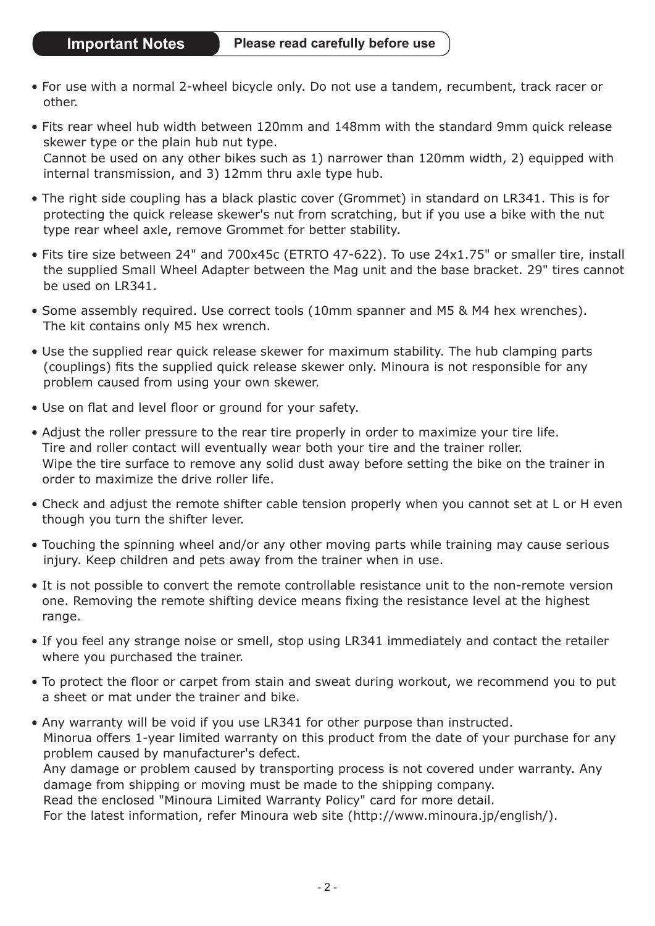- For use with a normal 2-wheel bicycle only. Do not use a tandem, recumbent, track racer or other.
- Fits rear wheel hub width between 120mm and 148mm with the standard 9mm quick release skewer type or the plain hub nut type. Cannot be used on any other bikes such as 1) narrower than 120mm width, 2) equipped with internal transmission, and 3) 12mm thru axle type hub.
- The right side coupling has a black plastic cover (Grommet) in standard on LR341. This is for protecting the quick release skewer's nut from scratching, but if you use a bike with the nut type rear wheel axle, remove Grommet for better stability.
- Fits tire size between 24" and 700x45c (ETRTO 47-622). To use 24x1.75" or smaller tire, install the supplied Small Wheel Adapter between the Mag unit and the base bracket. 29" tires cannot be used on LR341.
- Some assembly required. Use correct tools (10mm spanner and M5 & M4 hex wrenches). The kit contains only M5 hex wrench.
- Use the supplied rear quick release skewer for maximum stability. The hub clamping parts (couplings) fits the supplied quick release skewer only. Minoura is not responsible for any problem caused from using your own skewer.
- Use on flat and level floor or ground for your safety.
- Adjust the roller pressure to the rear tire properly in order to maximize your tire life. Tire and roller contact will eventually wear both your tire and the trainer roller. Wipe the tire surface to remove any solid dust away before setting the bike on the trainer in order to maximize the drive roller life.
- Check and adjust the remote shifter cable tension properly when you cannot set at L or H even though you turn the shifter lever.
- Touching the spinning wheel and/or any other moving parts while training may cause serious injury. Keep children and pets away from the trainer when in use.
- It is not possible to convert the remote controllable resistance unit to the non-remote version one. Removing the remote shifting device means fixing the resistance level at the highest range.
- If you feel any strange noise or smell, stop using LR341 immediately and contact the retailer where you purchased the trainer.
- To protect the floor or carpet from stain and sweat during workout, we recommend you to put a sheet or mat under the trainer and bike.
- Any warranty will be void if you use LR341 for other purpose than instructed. Minorua offers 1-year limited warranty on this product from the date of your purchase for any problem caused by manufacturer's defect. Any damage or problem caused by transporting process is not covered under warranty. Any damage from shipping or moving must be made to the shipping company. Read the enclosed "Minoura Limited Warranty Policy" card for more detail. For the latest information, refer Minoura web site (http://www.minoura.jp/english/).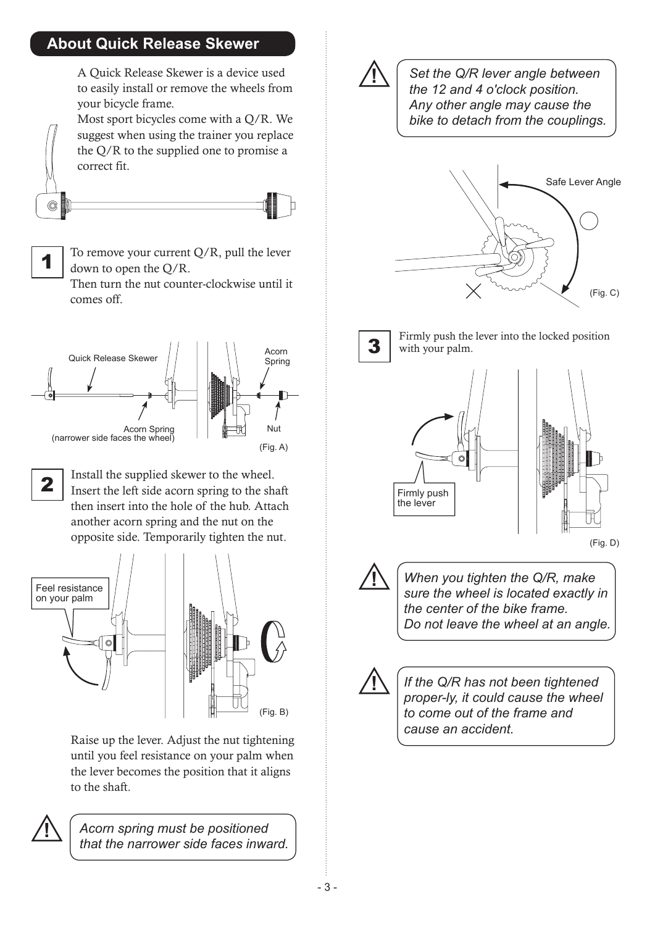## **About Quick Release Skewer**

A Quick Release Skewer is a device used to easily install or remove the wheels from your bicycle frame.

Most sport bicycles come with a Q/R. We suggest when using the trainer you replace the Q/R to the supplied one to promise a correct fit.





To remove your current  $Q/R$ , pull the lever down to open the Q/R.

Then turn the nut counter-clockwise until it comes off.



**2** Install the supplied skewer to the wheel.<br>Insert the left side acorn spring to the shaft then insert into the hole of the hub. Attach another acorn spring and the nut on the opposite side. Temporarily tighten the nut.



Raise up the lever. Adjust the nut tightening until you feel resistance on your palm when the lever becomes the position that it aligns to the shaft.



**!** *Acorn spring must be positioned that the narrower side faces inward.*



*Set the Q/R lever angle between the 12 and 4 o'clock position. Any other angle may cause the bike to detach from the couplings.*





 $\overline{3}$  Firmly push the lever into the locked position with your palm. with your palm.



(Fig. D)

**!** *When you tighten the Q/R, make sure the wheel is located exactly in the center of the bike frame. Do not leave the wheel at an angle.*



**!** *If the Q/R has not been tightened proper-ly, it could cause the wheel to come out of the frame and cause an accident.*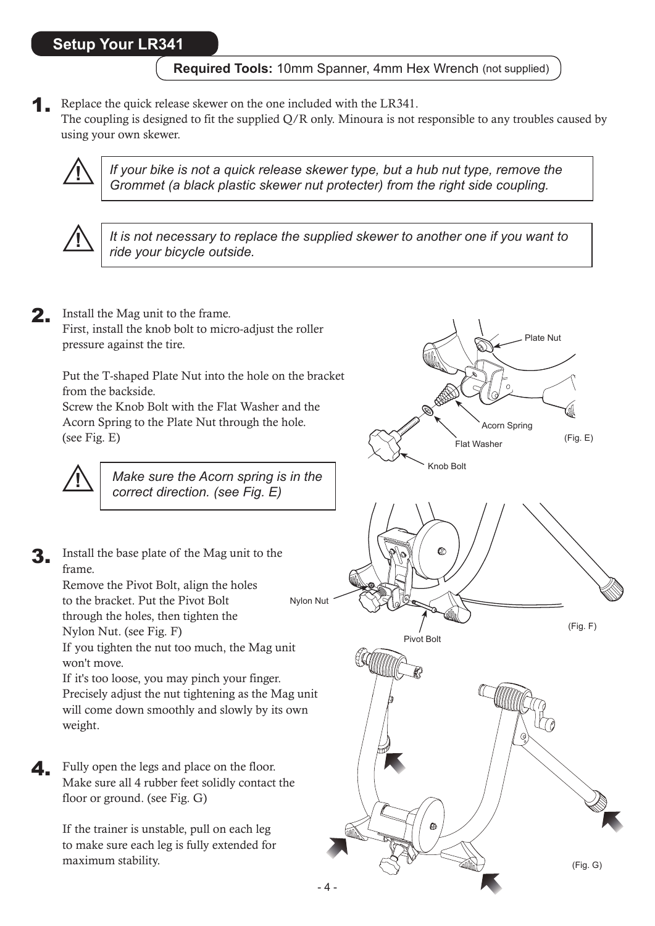**Required Tools:** 10mm Spanner, 4mm Hex Wrench (not supplied)

**1.** Replace the quick release skewer on the one included with the LR341. The coupling is designed to fit the supplied Q/R only. Minoura is not responsible to any troubles caused by using your own skewer.



**!** *If your bike is not a quick release skewer type, but a hub nut type, remove the Grommet (a black plastic skewer nut protecter) from the right side coupling.*



*It is not necessary to replace the supplied skewer to another one if you want to ride your bicycle outside.* **!**

2. Install the Mag unit to the frame. First, install the knob bolt to micro-adjust the roller pressure against the tire. Put the T-shaped Plate Nut into the hole on the bracket from the backside.

> Screw the Knob Bolt with the Flat Washer and the Acorn Spring to the Plate Nut through the hole. (see Fig. E)

**!**

*Make sure the Acorn spring is in the correct direction. (see Fig. E)*

Nylon Nut Install the base plate of the Mag unit to the frame. Remove the Pivot Bolt, align the holes to the bracket. Put the Pivot Bolt through the holes, then tighten the Nylon Nut. (see Fig. F) If you tighten the nut too much, the Mag unit won't move. If it's too loose, you may pinch your finger.

Precisely adjust the nut tightening as the Mag unit will come down smoothly and slowly by its own weight.

Fully open the legs and place on the floor. Make sure all 4 rubber feet solidly contact the floor or ground. (see Fig. G) 4.

> If the trainer is unstable, pull on each leg to make sure each leg is fully extended for maximum stability.

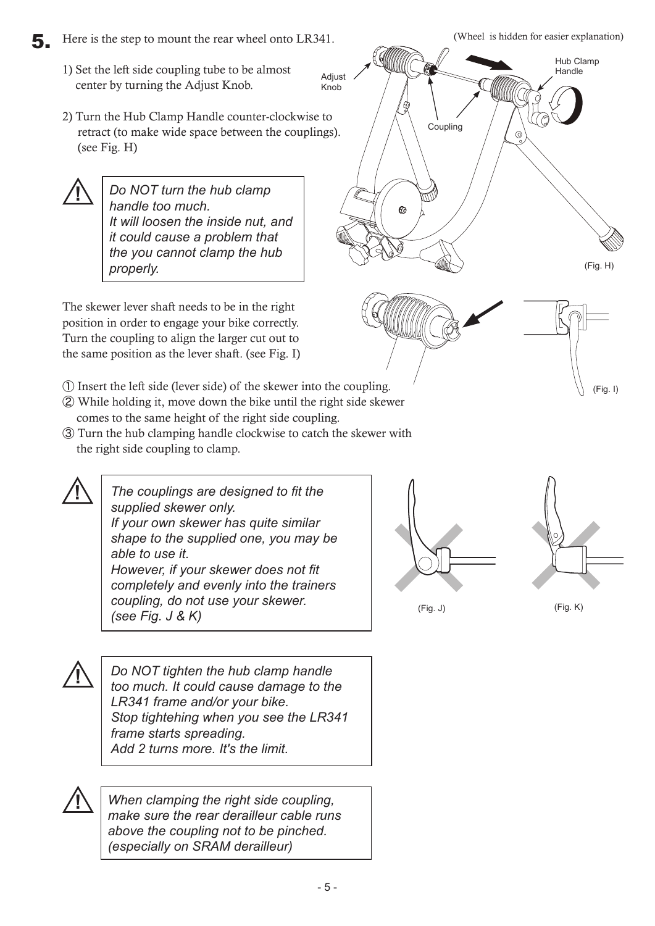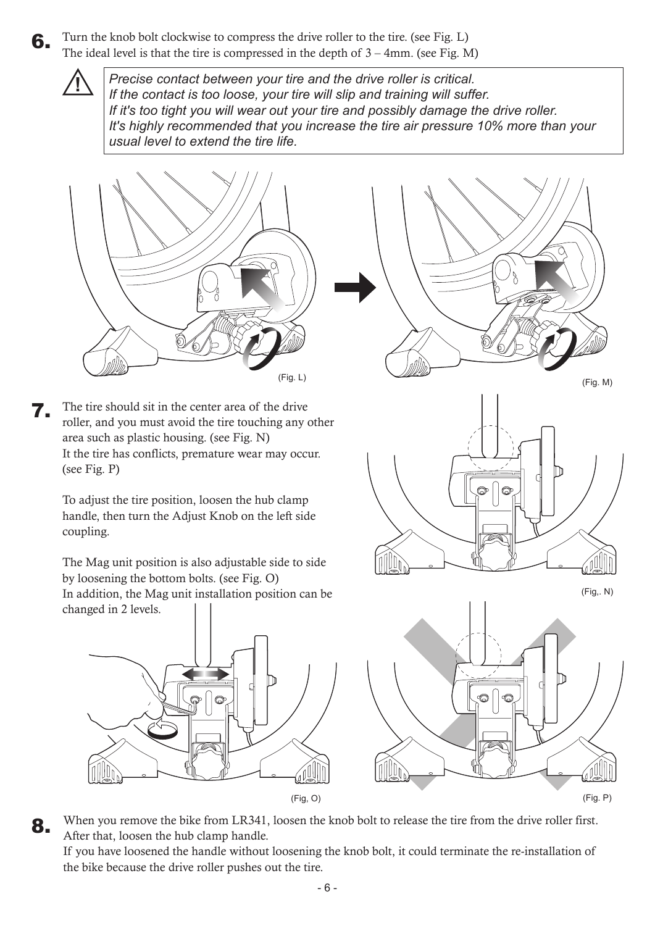Turn the knob bolt clockwise to compress the drive roller to the tire. (see Fig. L) The ideal level is that the tire is compressed in the depth of  $3 - 4$ mm. (see Fig. M) 6.

> *Precise contact between your tire and the drive roller is critical. If the contact is too loose, your tire will slip and training will suffer. If it's too tight you will wear out your tire and possibly damage the drive roller. It's highly recommended that you increase the tire air pressure 10% more than your usual level to extend the tire life.*

![](_page_5_Picture_2.jpeg)

**!**

The tire should sit in the center area of the drive roller, and you must avoid the tire touching any other area such as plastic housing. (see Fig. N) It the tire has conflicts, premature wear may occur. (see Fig. P) 7.

To adjust the tire position, loosen the hub clamp handle, then turn the Adjust Knob on the left side coupling.

The Mag unit position is also adjustable side to side by loosening the bottom bolts. (see Fig. O) In addition, the Mag unit installation position can be changed in 2 levels.

![](_page_5_Figure_6.jpeg)

![](_page_5_Figure_7.jpeg)

 $(Fig. L)$  (Fig. M) (Fig,. N) Q) nlllin

When you remove the bike from LR341, loosen the knob bolt to release the tire from the drive roller first. After that, loosen the hub clamp handle. 8.

If you have loosened the handle without loosening the knob bolt, it could terminate the re-installation of the bike because the drive roller pushes out the tire.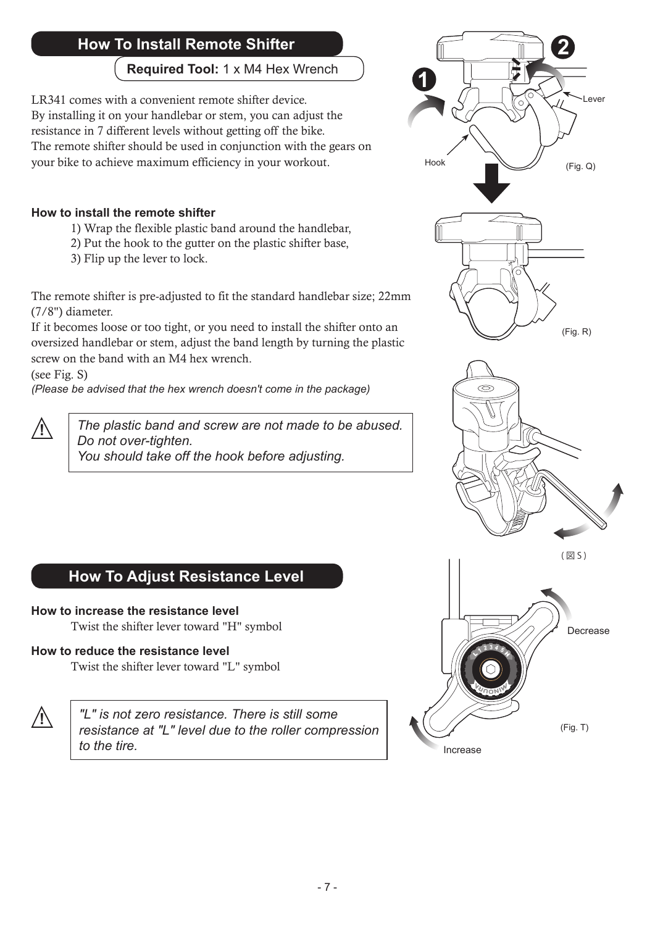# **How To Install Remote Shifter 2**

**Required Tool:** 1 x M4 Hex Wrench

LR341 comes with a convenient remote shifter device. By installing it on your handlebar or stem, you can adjust the resistance in 7 different levels without getting off the bike. The remote shifter should be used in conjunction with the gears on your bike to achieve maximum efficiency in your workout.

#### **How to install the remote shifter**

- 1) Wrap the flexible plastic band around the handlebar,
- 2) Put the hook to the gutter on the plastic shifter base,
- 3) Flip up the lever to lock.

The remote shifter is pre-adjusted to fit the standard handlebar size; 22mm (7/8") diameter.

If it becomes loose or too tight, or you need to install the shifter onto an oversized handlebar or stem, adjust the band length by turning the plastic screw on the band with an M4 hex wrench.

(see Fig. S)

*(Please be advised that the hex wrench doesn't come in the package)*

**!** *The plastic band and screw are not made to be abused. Do not over-tighten. You should take off the hook before adjusting.*

![](_page_6_Figure_12.jpeg)

Increase

# **How To Adjust Resistance Level**

#### **How to increase the resistance level**

Twist the shifter lever toward "H" symbol

### **How to reduce the resistance level**

Twist the shifter lever toward "L" symbol

![](_page_6_Picture_18.jpeg)

**!** *"L" is not zero resistance. There is still some resistance at "L" level due to the roller compression to the tire.*